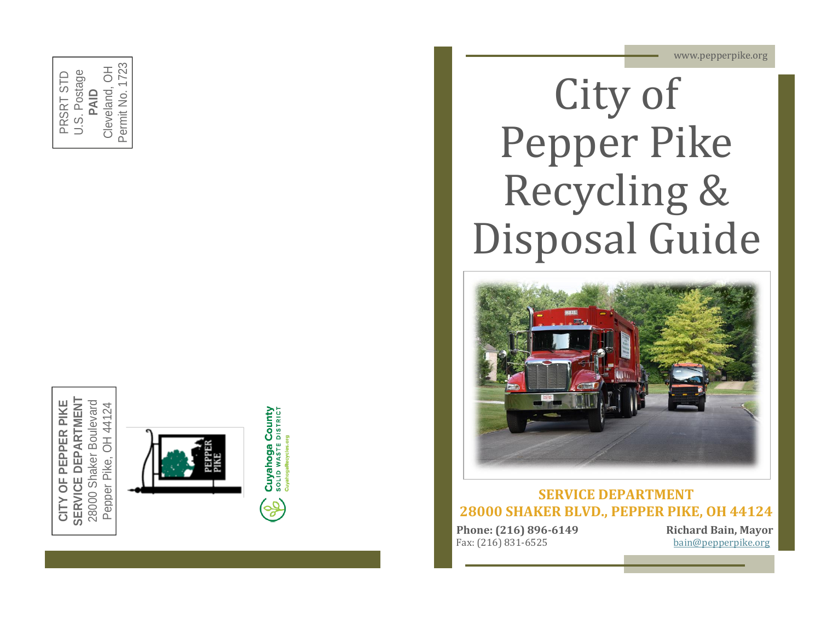www.pepperpike.org













#### **SERVICE DEPARTMENT 28000 SHAKER BLVD., PEPPER PIKE, OH 44124**

**Phone: (216) 896** Fax: (216) 831

**-6149 Richard Bain, Mayor** [bain@pepperpike.org](mailto:bain@pepperpike.org)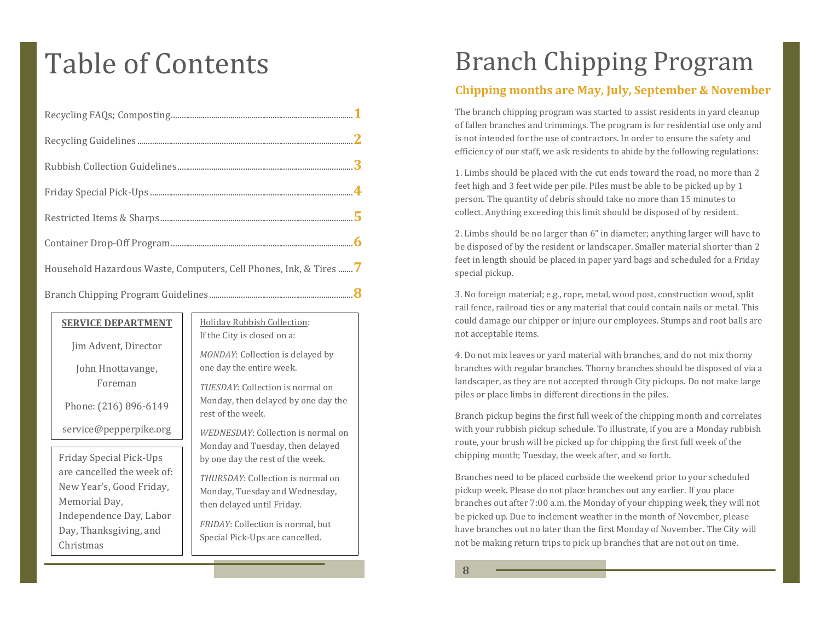# Table of Contents

| Household Hazardous Waste, Computers, Cell Phones, Ink, & Tires  7 |  |
|--------------------------------------------------------------------|--|
|                                                                    |  |

| <b>SERVICE DEPARTMENT</b>  | <b>Holiday Rubbish Collection:</b><br>If the City is closed on a:<br>MONDAY: Collection is delayed by |
|----------------------------|-------------------------------------------------------------------------------------------------------|
| Jim Advent, Director       |                                                                                                       |
| John Hnottavange,          | one day the entire week.                                                                              |
| Foreman                    | <i>TUESDAY: Collection is normal on</i>                                                               |
| Phone: (216) 896-6149      | Monday, then delayed by one day the<br>rest of the week.                                              |
| service@pepperpike.org     | <i>WEDNESDAY:</i> Collection is normal on                                                             |
|                            | Monday and Tuesday, then delayed                                                                      |
| Friday Special Pick-Ups    | by one day the rest of the week.                                                                      |
| are cancelled the week of: | THURSDAY: Collection is normal on<br>Monday, Tuesday and Wednesday,                                   |
| New Year's, Good Friday,   |                                                                                                       |
| Memorial Day,              | then delayed until Friday.                                                                            |
| Independence Day, Labor    | FRIDAY: Collection is normal, but<br>Special Pick-Ups are cancelled.                                  |
| Day, Thanksgiving, and     |                                                                                                       |
| Christmas                  |                                                                                                       |

## Branch Chipping Program

#### **Chipping months are May, July, September & November**

The branch chipping program was started to assist residents in yard cleanup of fallen branches and trimmings. The program is for residential use only and is not intended for the use of contractors. In order to ensure the safety and efficiency of our staff, we ask residents to abide by the following regulations:

1. Limbs should be placed with the cut ends toward the road, no more than 2 feet high and 3 feet wide per pile. Piles must be able to be picked up by 1 person. The quantity of debris should take no more than 15 minutes to collect. Anything exceeding this limit should be disposed of by resident.

2. Limbs should be no larger than 6" in diameter; anything larger will have to be disposed of by the resident or landscaper. Smaller material shorter than 2 feet in length should be placed in paper yard bags and scheduled for a Friday special pickup.

3. No foreign material; e.g., rope, metal, wood post, construction wood, split rail fence, railroad ties or any material that could contain nails or metal. This could damage our chipper or injure our employees. Stumps and root balls are not acceptable items.

4. Do not mix leaves or yard material with branches, and do not mix thorny branches with regular branches. Thorny branches should be disposed of via a landscaper, as they are not accepted through City pickups. Do not make large piles or place limbs in different directions in the piles.

Branch pickup begins the first full week of the chipping month and correlates with your rubbish pickup schedule. To illustrate, if you are a Monday rubbish route, your brush will be picked up for chipping the first full week of the chipping month; Tuesday, the week after, and so forth.

Branches need to be placed curbside the weekend prior to your scheduled pickup week. Please do not place branches out any earlier. If you place branches out after 7:00 a.m. the Monday of your chipping week, they will not be picked up. Due to inclement weather in the month of November, please have branches out no later than the first Monday of November. The City will not be making return trips to pick up branches that are not out on time.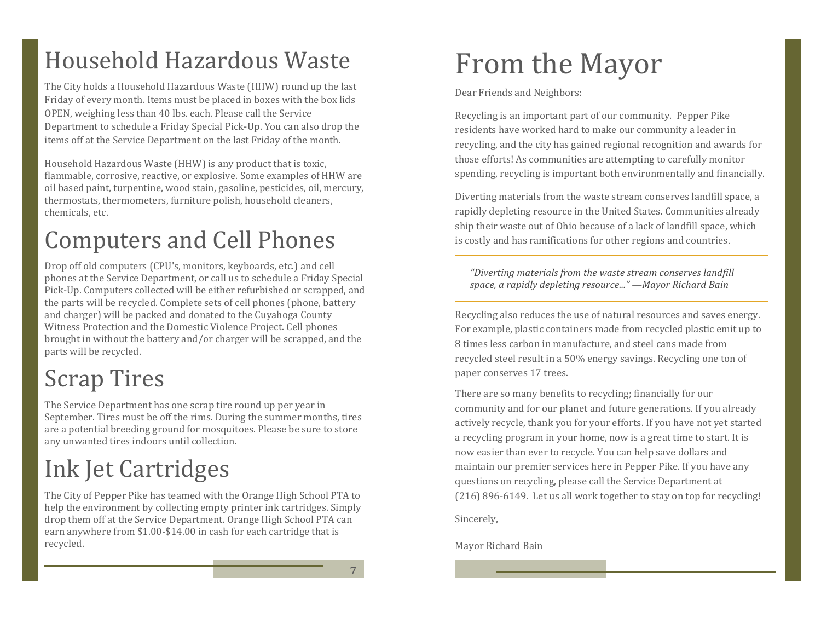## Household Hazardous Waste

The City holds a Household Hazardous Waste (HHW) round up the last Friday of every month. Items must be placed in boxes with the box lids OPEN, weighing less than 40 lbs. each. Please call the Service Department to schedule a Friday Special Pick-Up. You can also drop the items off at the Service Department on the last Friday of the month.

Household Hazardous Waste (HHW) is any product that is toxic, flammable, corrosive, reactive, or explosive. Some examples of HHW are oil based paint, turpentine, wood stain, gasoline, pesticides, oil, mercury, thermostats, thermometers, furniture polish, household cleaners, chemicals, etc.

## Computers and Cell Phones

Drop off old computers (CPU's, monitors, keyboards, etc.) and cell phones at the Service Department, or call us to schedule a Friday Special Pick-Up. Computers collected will be either refurbished or scrapped, and the parts will be recycled. Complete sets of cell phones (phone, battery and charger) will be packed and donated to the Cuyahoga County Witness Protection and the Domestic Violence Project. Cell phones brought in without the battery and/or charger will be scrapped, and the parts will be recycled.

# Scrap Tires

The Service Department has one scrap tire round up per year in September. Tires must be off the rims. During the summer months, tires are a potential breeding ground for mosquitoes. Please be sure to store any unwanted tires indoors until collection.

# Ink Jet Cartridges

The City of Pepper Pike has teamed with the Orange High School PTA to help the environment by collecting empty printer ink cartridges. Simply drop them off at the Service Department. Orange High School PTA can earn anywhere from \$1.00-\$14.00 in cash for each cartridge that is recycled.

# From the Mayor

Dear Friends and Neighbors:

Recycling is an important part of our community. Pepper Pike residents have worked hard to make our community a leader in recycling, and the city has gained regional recognition and awards for those efforts! As communities are attempting to carefully monitor spending, recycling is important both environmentally and financially.

Diverting materials from the waste stream conserves landfill space, a rapidly depleting resource in the United States. Communities already ship their waste out of Ohio because of a lack of landfill space, which is costly and has ramifications for other regions and countries.

*"Diverting materials from the waste stream conserves landfill space, a rapidly depleting resource..." —Mayor Richard Bain*

Recycling also reduces the use of natural resources and saves energy. For example, plastic containers made from recycled plastic emit up to 8 times less carbon in manufacture, and steel cans made from recycled steel result in a 50% energy savings. Recycling one ton of paper conserves 17 trees.

There are so many benefits to recycling; financially for our community and for our planet and future generations. If you already actively recycle, thank you for your efforts. If you have not yet started a recycling program in your home, now is a great time to start. It is now easier than ever to recycle. You can help save dollars and maintain our premier services here in Pepper Pike. If you have any questions on recycling, please call the Service Department at (216) 896-6149. Let us all work together to stay on top for recycling!

Sincerely,

Mayor Richard Bain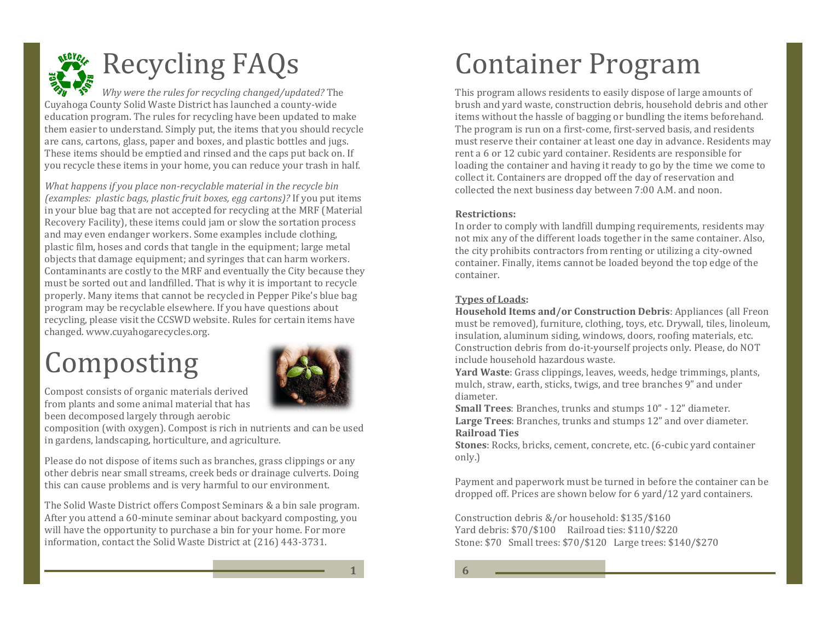

# **Executing FAQs**

*Why were the rules for recycling changed/updated?* The Cuyahoga County Solid Waste District has launched a county-wide education program. The rules for recycling have been updated to make them easier to understand. Simply put, the items that you should recycle are cans, cartons, glass, paper and boxes, and plastic bottles and jugs. These items should be emptied and rinsed and the caps put back on. If you recycle these items in your home, you can reduce your trash in half.

*What happens if you place non-recyclable material in the recycle bin (examples: plastic bags, plastic fruit boxes, egg cartons)?* If you put items in your blue bag that are not accepted for recycling at the MRF (Material Recovery Facility), these items could jam or slow the sortation process and may even endanger workers. Some examples include clothing, plastic film, hoses and cords that tangle in the equipment; large metal objects that damage equipment; and syringes that can harm workers. Contaminants are costly to the MRF and eventually the City because they must be sorted out and landfilled. That is why it is important to recycle properly. Many items that cannot be recycled in Pepper Pike's blue bag program may be recyclable elsewhere. If you have questions about recycling, please visit the CCSWD website. Rules for certain items have changed. www.cuyahogarecycles.org.

# Composting



Compost consists of organic materials derived from plants and some animal material that has been decomposed largely through aerobic

composition (with oxygen). Compost is rich in nutrients and can be used in gardens, landscaping, horticulture, and agriculture.

Please do not dispose of items such as branches, grass clippings or any other debris near small streams, creek beds or drainage culverts. Doing this can cause problems and is very harmful to our environment.

The Solid Waste District offers Compost Seminars & a bin sale program. After you attend a 60-minute seminar about backyard composting, you will have the opportunity to purchase a bin for your home. For more information, contact the Solid Waste District at (216) 443-3731.

# Container Program

This program allows residents to easily dispose of large amounts of brush and yard waste, construction debris, household debris and other items without the hassle of bagging or bundling the items beforehand. The program is run on a first-come, first-served basis, and residents must reserve their container at least one day in advance. Residents may rent a 6 or 12 cubic yard container. Residents are responsible for loading the container and having it ready to go by the time we come to collect it. Containers are dropped off the day of reservation and collected the next business day between 7:00 A.M. and noon.

#### **Restrictions:**

In order to comply with landfill dumping requirements, residents may not mix any of the different loads together in the same container. Also, the city prohibits contractors from renting or utilizing a city-owned container. Finally, items cannot be loaded beyond the top edge of the container.

#### **Types of Loads:**

**Household Items and/or Construction Debris**: Appliances (all Freon must be removed), furniture, clothing, toys, etc. Drywall, tiles, linoleum, insulation, aluminum siding, windows, doors, roofing materials, etc. Construction debris from do-it-yourself projects only. Please, do NOT include household hazardous waste.

**Yard Waste**: Grass clippings, leaves, weeds, hedge trimmings, plants, mulch, straw, earth, sticks, twigs, and tree branches 9" and under diameter.

**Small Trees**: Branches, trunks and stumps 10" - 12" diameter. **Large Trees**: Branches, trunks and stumps 12" and over diameter. **Railroad Ties** 

**Stones**: Rocks, bricks, cement, concrete, etc. (6-cubic yard container only.)

Payment and paperwork must be turned in before the container can be dropped off. Prices are shown below for 6 yard/12 yard containers.

Construction debris &/or household: \$135/\$160 Yard debris: \$70/\$100 Railroad ties: \$110/\$220 Stone: \$70 Small trees: \$70/\$120 Large trees: \$140/\$270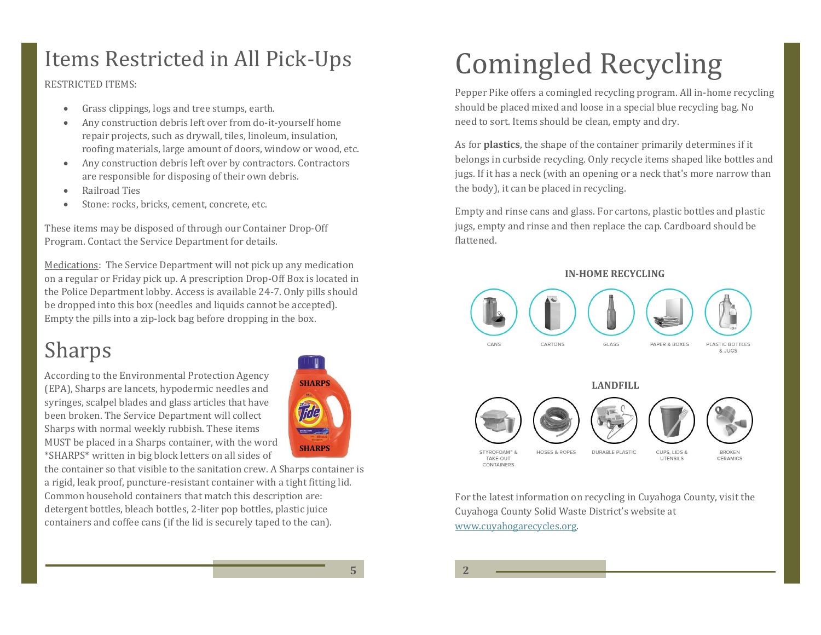### Items Restricted in All Pick-Ups

RESTRICTED ITEMS:

- Grass clippings, logs and tree stumps, earth.
- Any construction debris left over from do-it-yourself home repair projects, such as drywall, tiles, linoleum, insulation, roofing materials, large amount of doors, window or wood, etc.
- Any construction debris left over by contractors. Contractors are responsible for disposing of their own debris.
- Railroad Ties
- Stone: rocks, bricks, cement, concrete, etc.

These items may be disposed of through our Container Drop-Off Program. Contact the Service Department for details.

Medications: The Service Department will not pick up any medication on a regular or Friday pick up. A prescription Drop-Off Box is located in the Police Department lobby. Access is available 24-7. Only pills should be dropped into this box (needles and liquids cannot be accepted). Empty the pills into a zip-lock bag before dropping in the box.

### Sharps

According to the Environmental Protection Agency (EPA), Sharps are lancets, hypodermic needles and syringes, scalpel blades and glass articles that have been broken. The Service Department will collect Sharps with normal weekly rubbish. These items MUST be placed in a Sharps container, with the word \*SHARPS\* written in big block letters on all sides of



the container so that visible to the sanitation crew. A Sharps container is a rigid, leak proof, puncture-resistant container with a tight fitting lid. Common household containers that match this description are: detergent bottles, bleach bottles, 2-liter pop bottles, plastic juice containers and coffee cans (if the lid is securely taped to the can).

# Comingled Recycling

Pepper Pike offers a comingled recycling program. All in-home recycling should be placed mixed and loose in a special blue recycling bag. No need to sort. Items should be clean, empty and dry.

As for **plastics**, the shape of the container primarily determines if it belongs in curbside recycling. Only recycle items shaped like bottles and jugs. If it has a neck (with an opening or a neck that's more narrow than the body), it can be placed in recycling.

Empty and rinse cans and glass. For cartons, plastic bottles and plastic jugs, empty and rinse and then replace the cap. Cardboard should be flattened.

#### **IN-HOME RECYCLING**



For the latest information on recycling in Cuyahoga County, visit the Cuyahoga County Solid Waste District's website at [www.cuyahogarecycles.org.](http://www.cuyahogarecycles.org/)